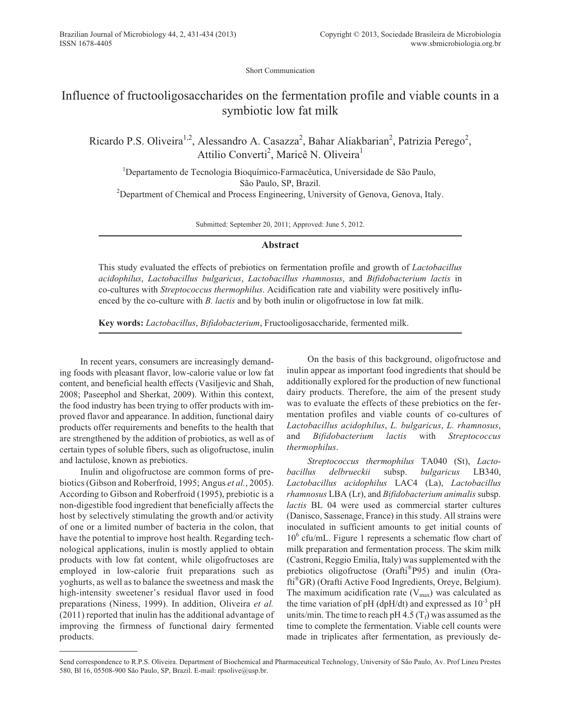Short Communication

## Influence of fructooligosaccharides on the fermentation profile and viable counts in a symbiotic low fat milk

Ricardo P.S. Oliveira<sup>1,2</sup>, Alessandro A. Casazza<sup>2</sup>, Bahar Aliakbarian<sup>2</sup>, Patrizia Perego<sup>2</sup>, Attilio Converti<sup>2</sup>, Maricê N. Oliveira<sup>1</sup>

<sup>1</sup>Departamento de Tecnologia Bioquímico-Farmacêutica, Universidade de São Paulo, São Paulo, SP, Brazil. <sup>2</sup>Department of Chemical and Process Engineering, University of Genova, Genova, Italy.

Submitted: September 20, 2011; Approved: June 5, 2012.

## **Abstract**

This study evaluated the effects of prebiotics on fermentation profile and growth of *Lactobacillus acidophilus*, *Lactobacillus bulgaricus*, *Lactobacillus rhamnosus*, and *Bifidobacterium lactis* in co-cultures with *Streptococcus thermophilus*. Acidification rate and viability were positively influenced by the co-culture with *B. lactis* and by both inulin or oligofructose in low fat milk.

**Key words:** *Lactobacillus*, *Bifidobacterium*, Fructooligosaccharide, fermented milk.

In recent years, consumers are increasingly demanding foods with pleasant flavor, low-calorie value or low fat content, and beneficial health effects (Vasiljevic and Shah, 2008; Paseephol and Sherkat, 2009). Within this context, the food industry has been trying to offer products with improved flavor and appearance. In addition, functional dairy products offer requirements and benefits to the health that are strengthened by the addition of probiotics, as well as of certain types of soluble fibers, such as oligofructose, inulin and lactulose, known as prebiotics.

Inulin and oligofructose are common forms of prebiotics (Gibson and Roberfroid, 1995; Angus *et al.*, 2005). According to Gibson and Roberfroid (1995), prebiotic is a non-digestible food ingredient that beneficially affects the host by selectively stimulating the growth and/or activity of one or a limited number of bacteria in the colon, that have the potential to improve host health. Regarding technological applications, inulin is mostly applied to obtain products with low fat content, while oligofructoses are employed in low-calorie fruit preparations such as yoghurts, as well as to balance the sweetness and mask the high-intensity sweetener's residual flavor used in food preparations (Niness, 1999). In addition, Oliveira *et al.* (2011) reported that inulin has the additional advantage of improving the firmness of functional dairy fermented products.

On the basis of this background, oligofructose and inulin appear as important food ingredients that should be additionally explored for the production of new functional dairy products. Therefore, the aim of the present study was to evaluate the effects of these prebiotics on the fermentation profiles and viable counts of co-cultures of *Lactobacillus acidophilus*, *L. bulgaricus*, *L. rhamnosus*, and *Bifidobacterium lactis* with *Streptococcus thermophilus*.

*Streptococcus thermophilus* TA040 (St), *Lactobacillus delbrueckii* subsp. *bulgaricus* LB340, *Lactobacillus acidophilus* LAC4 (La), *Lactobacillus rhamnosus* LBA (Lr), and *Bifidobacterium animalis* subsp. *lactis* BL 04 were used as commercial starter cultures (Danisco, Sassenage, France) in this study. All strains were inoculated in sufficient amounts to get initial counts of  $10<sup>6</sup>$  cfu/mL. Figure 1 represents a schematic flow chart of milk preparation and fermentation process. The skim milk (Castroni, Reggio Emilia, Italy) was supplemented with the prebiotics oligofructose (Orafti®P95) and inulin (Orafti®GR) (Orafti Active Food Ingredients, Oreye, Belgium). The maximum acidification rate  $(V_{max})$  was calculated as the time variation of pH (dpH/dt) and expressed as  $10^{-3}$  pH units/min. The time to reach pH 4.5  $(T_f)$  was assumed as the time to complete the fermentation. Viable cell counts were made in triplicates after fermentation, as previously de-

Send correspondence to R.P.S. Oliveira. Department of Biochemical and Pharmaceutical Technology, University of São Paulo, Av. Prof Lineu Prestes 580, Bl 16, 05508-900 São Paulo, SP, Brazil. E-mail: rpsolive@usp.br.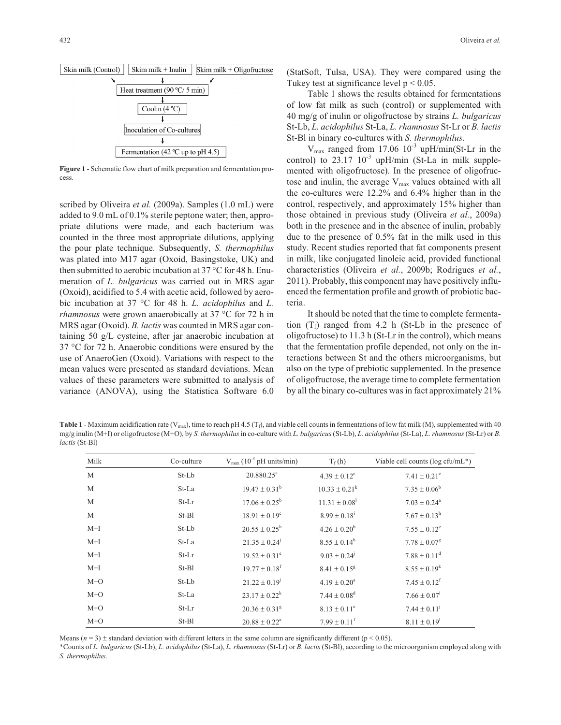

**Figure 1** - Schematic flow chart of milk preparation and fermentation process.

scribed by Oliveira *et al.* (2009a). Samples (1.0 mL) were added to 9.0 mL of 0.1% sterile peptone water; then, appropriate dilutions were made, and each bacterium was counted in the three most appropriate dilutions, applying the pour plate technique. Subsequently, *S. thermophilus* was plated into M17 agar (Oxoid, Basingstoke, UK) and then submitted to aerobic incubation at 37 °C for 48 h. Enumeration of *L. bulgaricus* was carried out in MRS agar (Oxoid), acidified to 5.4 with acetic acid, followed by aerobic incubation at 37 °C for 48 h. *L. acidophilus* and *L. rhamnosus* were grown anaerobically at 37 °C for 72 h in MRS agar (Oxoid). *B. lactis* was counted in MRS agar containing 50 g/L cysteine, after jar anaerobic incubation at 37 °C for 72 h. Anaerobic conditions were ensured by the use of AnaeroGen (Oxoid). Variations with respect to the mean values were presented as standard deviations. Mean values of these parameters were submitted to analysis of variance (ANOVA), using the Statistica Software 6.0

(StatSoft, Tulsa, USA). They were compared using the Tukey test at significance level  $p < 0.05$ .

Table 1 shows the results obtained for fermentations of low fat milk as such (control) or supplemented with 40 mg/g of inulin or oligofructose by strains *L. bulgaricus* St-Lb, *L. acidophilus* St-La, *L. rhamnosus* St-Lr or *B. lactis* St-Bl in binary co-cultures with *S. thermophilus*.

 $V_{\text{max}}$  ranged from 17.06 10<sup>-3</sup> upH/min(St-Lr in the control) to  $23.17 \frac{10^{-3}}{9}$  upH/min (St-La in milk supplemented with oligofructose). In the presence of oligofructose and inulin, the average  $V_{\text{max}}$  values obtained with all the co-cultures were 12.2% and 6.4% higher than in the control, respectively, and approximately 15% higher than those obtained in previous study (Oliveira *et al.*, 2009a) both in the presence and in the absence of inulin, probably due to the presence of 0.5% fat in the milk used in this study. Recent studies reported that fat components present in milk, like conjugated linoleic acid, provided functional characteristics (Oliveira *et al.*, 2009b; Rodrigues *et al.*, 2011). Probably, this component may have positively influenced the fermentation profile and growth of probiotic bacteria.

It should be noted that the time to complete fermentation  $(T_f)$  ranged from 4.2 h (St-Lb in the presence of oligofructose) to 11.3 h (St-Lr in the control), which means that the fermentation profile depended, not only on the interactions between St and the others microorganisms, but also on the type of prebiotic supplemented. In the presence of oligofructose, the average time to complete fermentation by all the binary co-cultures was in fact approximately 21%

**Table 1** - Maximum acidification rate (V<sub>max</sub>), time to reach pH 4.5 (T<sub>f</sub>), and viable cell counts in fermentations of low fat milk (M), supplemented with 40 mg/g inulin (M+I) or oligofructose (M+O), by *S. thermophilus*in co-culture with *L. bulgaricus*(St-Lb), *L. acidophilus*(St-La), *L. rhamnosus*(St-Lr) or *B. lactis* (St-Bl)

| Milk  | Co-culture | $V_{\text{max}}$ (10 <sup>-3</sup> pH units/min) | $T_f(h)$                     | Viable cell counts ( $log c$ fu/mL*) |
|-------|------------|--------------------------------------------------|------------------------------|--------------------------------------|
| M     | St-Lb      | $20.880.25^a$                                    | $4.39 \pm 0.12$ <sup>c</sup> | $7.41 \pm 0.21$ <sup>c</sup>         |
| M     | St-La      | $19.47 \pm 0.31^{\rm b}$                         | $10.33 \pm 0.21^k$           | $7.35 \pm 0.06^b$                    |
| M     | $St-Lr$    | $17.06 \pm 0.25^b$                               | $11.31 \pm 0.08^1$           | $7.03 \pm 0.24^{\circ}$              |
| M     | St-Bl      | $18.91 \pm 0.19^{\circ}$                         | $8.99 \pm 0.18^{\text{i}}$   | $7.67 \pm 0.13^{\rm h}$              |
| $M+I$ | St-Lb      | $20.55 \pm 0.25^{\rm h}$                         | $4.26 \pm 0.20^b$            | $7.55 \pm 0.12^e$                    |
| $M+I$ | St-La      | $21.35 \pm 0.24^{\circ}$                         | $8.55 \pm 0.14^{\rm h}$      | $7.78 \pm 0.07$ <sup>g</sup>         |
| $M+I$ | St-Lr      | $19.52 \pm 0.31^{\circ}$                         | $9.03 \pm 0.24$ <sup>j</sup> | $7.88 \pm 0.11^d$                    |
| $M+I$ | $St-B1$    | $19.77 \pm 0.18$ <sup>f</sup>                    | $8.41 \pm 0.15^g$            | $8.55 \pm 0.19^k$                    |
| $M+O$ | St-Lb      | $21.22 \pm 0.19^i$                               | $4.19 \pm 0.20^a$            | $7.45 \pm 0.12^{\mathrm{f}}$         |
| $M+O$ | St-La      | $23.17 \pm 0.22^k$                               | $7.44 \pm 0.08$ <sup>d</sup> | $7.66 \pm 0.07^i$                    |
| $M+O$ | $St-Lr$    | $20.36 \pm 0.31^8$                               | $8.13 \pm 0.11^e$            | $7.44 \pm 0.11^{\rm j}$              |
| $M+O$ | $St-B1$    | $20.88 \pm 0.22^{\text{a}}$                      | $7.99 \pm 0.11^{\mathrm{f}}$ | $8.11 \pm 0.19$ <sup>1</sup>         |

Means  $(n = 3)$  ± standard deviation with different letters in the same column are significantly different ( $p < 0.05$ ).

\*Counts of *L. bulgaricus* (St-Lb), *L. acidophilus* (St-La), *L. rhamnosus* (St-Lr) or *B. lactis* (St-Bl), according to the microorganism employed along with *S. thermophilus*.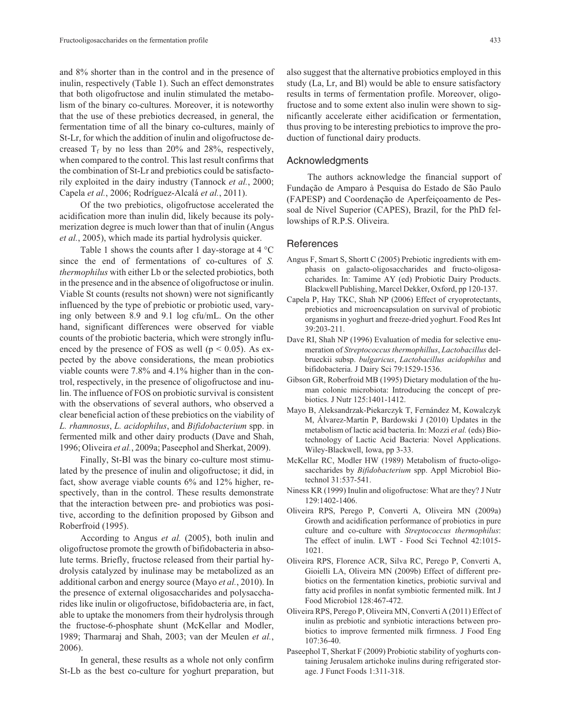and 8% shorter than in the control and in the presence of inulin, respectively (Table 1). Such an effect demonstrates that both oligofructose and inulin stimulated the metabolism of the binary co-cultures. Moreover, it is noteworthy that the use of these prebiotics decreased, in general, the fermentation time of all the binary co-cultures, mainly of St-Lr, for which the addition of inulin and oligofructose decreased  $T_f$  by no less than 20% and 28%, respectively, when compared to the control. This last result confirms that the combination of St-Lr and prebiotics could be satisfactorily exploited in the dairy industry (Tannock *et al.*, 2000; Capela *et al.*, 2006; Rodríguez-Alcalá *et al.*, 2011).

Of the two prebiotics, oligofructose accelerated the acidification more than inulin did, likely because its polymerization degree is much lower than that of inulin (Angus *et al.*, 2005), which made its partial hydrolysis quicker.

Table 1 shows the counts after 1 day-storage at  $4^{\circ}$ C since the end of fermentations of co-cultures of *S. thermophilus* with either Lb or the selected probiotics, both in the presence and in the absence of oligofructose or inulin. Viable St counts (results not shown) were not significantly influenced by the type of prebiotic or probiotic used, varying only between 8.9 and 9.1 log cfu/mL. On the other hand, significant differences were observed for viable counts of the probiotic bacteria, which were strongly influenced by the presence of FOS as well ( $p < 0.05$ ). As expected by the above considerations, the mean probiotics viable counts were 7.8% and 4.1% higher than in the control, respectively, in the presence of oligofructose and inulin. The influence of FOS on probiotic survival is consistent with the observations of several authors, who observed a clear beneficial action of these prebiotics on the viability of *L. rhamnosus*, *L. acidophilus*, and *Bifidobacterium* spp. in fermented milk and other dairy products (Dave and Shah, 1996; Oliveira *et al.*, 2009a; Paseephol and Sherkat, 2009).

Finally, St-Bl was the binary co-culture most stimulated by the presence of inulin and oligofructose; it did, in fact, show average viable counts 6% and 12% higher, respectively, than in the control. These results demonstrate that the interaction between pre- and probiotics was positive, according to the definition proposed by Gibson and Roberfroid (1995).

According to Angus *et al.* (2005), both inulin and oligofructose promote the growth of bifidobacteria in absolute terms. Briefly, fructose released from their partial hydrolysis catalyzed by inulinase may be metabolized as an additional carbon and energy source (Mayo *et al.*, 2010). In the presence of external oligosaccharides and polysaccharides like inulin or oligofructose, bifidobacteria are, in fact, able to uptake the monomers from their hydrolysis through the fructose-6-phosphate shunt (McKellar and Modler, 1989; Tharmaraj and Shah, 2003; van der Meulen *et al.*, 2006).

In general, these results as a whole not only confirm St-Lb as the best co-culture for yoghurt preparation, but

also suggest that the alternative probiotics employed in this study (La, Lr, and Bl) would be able to ensure satisfactory results in terms of fermentation profile. Moreover, oligofructose and to some extent also inulin were shown to significantly accelerate either acidification or fermentation, thus proving to be interesting prebiotics to improve the production of functional dairy products.

## Acknowledgments

The authors acknowledge the financial support of Fundação de Amparo à Pesquisa do Estado de São Paulo (FAPESP) and Coordenação de Aperfeiçoamento de Pessoal de Nível Superior (CAPES), Brazil, for the PhD fellowships of R.P.S. Oliveira.

## References

- Angus F, Smart S, Shortt C (2005) Prebiotic ingredients with emphasis on galacto-oligosaccharides and fructo-oligosaccharides. In: Tamime AY (ed) Probiotic Dairy Products. Blackwell Publishing, Marcel Dekker, Oxford, pp 120-137.
- Capela P, Hay TKC, Shah NP (2006) Effect of cryoprotectants, prebiotics and microencapsulation on survival of probiotic organisms in yoghurt and freeze-dried yoghurt. Food Res Int 39:203-211.
- Dave RI, Shah NP (1996) Evaluation of media for selective enumeration of *Streptococcus thermophillus*, *Lactobacillus* delbrueckii subsp. *bulgaricus*, *Lactobacillus acidophilus* and bifidobacteria. J Dairy Sci 79:1529-1536.
- Gibson GR, Roberfroid MB (1995) Dietary modulation of the human colonic microbiota: Introducing the concept of prebiotics. J Nutr 125:1401-1412.
- Mayo B, Aleksandrzak-Piekarczyk T, Fernández M, Kowalczyk M, Álvarez-Martín P, Bardowski J (2010) Updates in the metabolism of lactic acid bacteria. In: Mozzi *et al.* (eds) Biotechnology of Lactic Acid Bacteria: Novel Applications. Wiley-Blackwell, Iowa, pp 3-33.
- McKellar RC, Modler HW (1989) Metabolism of fructo-oligosaccharides by *Bifidobacterium* spp. Appl Microbiol Biotechnol 31:537-541.
- Niness KR (1999) Inulin and oligofructose: What are they? J Nutr 129:1402-1406.
- Oliveira RPS, Perego P, Converti A, Oliveira MN (2009a) Growth and acidification performance of probiotics in pure culture and co-culture with *Streptococcus thermophilus*: The effect of inulin. LWT - Food Sci Technol 42:1015- 1021.
- Oliveira RPS, Florence ACR, Silva RC, Perego P, Converti A, Gioielli LA, Oliveira MN (2009b) Effect of different prebiotics on the fermentation kinetics, probiotic survival and fatty acid profiles in nonfat symbiotic fermented milk. Int J Food Microbiol 128:467-472.
- Oliveira RPS, Perego P, Oliveira MN, Converti A (2011) Effect of inulin as prebiotic and synbiotic interactions between probiotics to improve fermented milk firmness. J Food Eng 107:36-40.
- Paseephol T, Sherkat F (2009) Probiotic stability of yoghurts containing Jerusalem artichoke inulins during refrigerated storage. J Funct Foods 1:311-318.